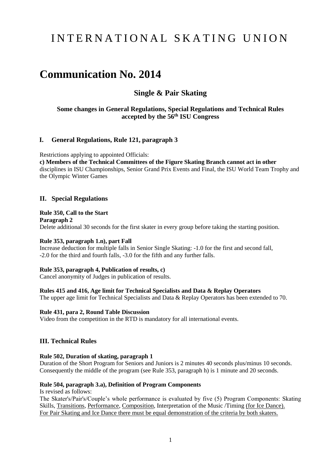# I N T E R N A T I O N A L S K A T I N G U N I O N

## **Communication No. 2014**

## **Single & Pair Skating**

## **Some changes in General Regulations, Special Regulations and Technical Rules accepted by the 56 th ISU Congress**

#### **I. General Regulations, Rule 121, paragraph 3**

Restrictions applying to appointed Officials: **c) Members of the Technical Committees of the Figure Skating Branch cannot act in other** disciplines in ISU Championships, Senior Grand Prix Events and Final, the ISU World Team Trophy and

the Olympic Winter Games

### **II. Special Regulations**

#### **Rule 350, Call to the Start**

**Paragraph 2** Delete additional 30 seconds for the first skater in every group before taking the starting position.

#### **Rule 353, paragraph 1.n), part Fall**

Increase deduction for multiple falls in Senior Single Skating: -1.0 for the first and second fall, -2.0 for the third and fourth falls, -3.0 for the fifth and any further falls.

#### **Rule 353, paragraph 4, Publication of results, c)**

Cancel anonymity of Judges in publication of results.

#### **Rules 415 and 416, Age limit for Technical Specialists and Data & Replay Operators**

The upper age limit for Technical Specialists and Data & Replay Operators has been extended to 70.

#### **Rule 431, para 2, Round Table Discussion**

Video from the competition in the RTD is mandatory for all international events.

#### **III. Technical Rules**

#### **Rule 502, Duration of skating, paragraph 1**

Duration of the Short Program for Seniors and Juniors is 2 minutes 40 seconds plus/minus 10 seconds. Consequently the middle of the program (see Rule 353, paragraph h) is 1 minute and 20 seconds.

#### **Rule 504, paragraph 3.a), Definition of Program Components**

Is revised as follows:

The Skater's/Pair's/Couple's whole performance is evaluated by five (5) Program Components: Skating Skills, Transitions, Performance, Composition, Interpretation of the Music /Timing (for Ice Dance). For Pair Skating and Ice Dance there must be equal demonstration of the criteria by both skaters.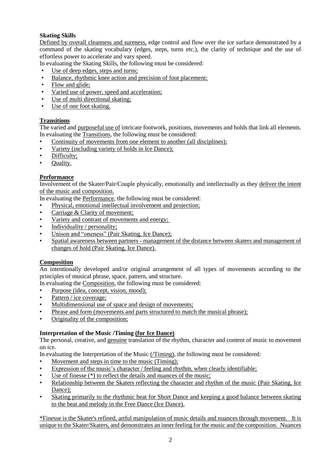## **Skating Skills**

Defined by overall cleanness and sureness, edge control and flow over the ice surface demonstrated by a command of the skating vocabulary (edges, steps, turns etc.), the clarity of technique and the use of effortless power to accelerate and vary speed.

In evaluating the Skating Skills, the following must be considered:

- Use of deep edges, steps and turns;
- Balance, rhythmic knee action and precision of foot placement;
- Flow and glide;
- Varied use of power, speed and acceleration;
- Use of multi directional skating;
- Use of one foot skating.

#### **Transitions**

The varied and purposeful use of intricate footwork, positions, movements and holds that link all elements. In evaluating the Transitions, the following must be considered:

- Continuity of movements from one element to another (all disciplines);
- Variety (including variety of holds in Ice Dance);
- Difficulty;
- Quality.

#### **Performance**

Involvement of the Skater/Pair/Couple physically, emotionally and intellectually as they deliver the intent of the music and composition.

In evaluating the Performance, the following must be considered:

- Physical, emotional intellectual involvement and projection;
- Carriage & Clarity of movement:
- Variety and contrast of movements and energy;
- Individuality / personality;
- Unison and "oneness" (Pair Skating, Ice Dance);
- Spatial awareness between partners management of the distance between skaters and management of changes of hold (Pair Skating, Ice Dance).

#### **Composition**

An intentionally developed and/or original arrangement of all types of movements according to the principles of musical phrase, space, pattern, and structure.

- In evaluating the Composition, the following must be considered:
- Purpose (idea, concept, vision, mood);
- Pattern / ice coverage:
- Multidimensional use of space and design of movements;
- Phrase and form (movements and parts structured to match the musical phrase);
- Originality of the composition;

### **Interpretation of the Music /Timing (for Ice Dance)**

The personal, creative, and genuine translation of the rhythm, character and content of music to movement on ice.

In evaluating the Interpretation of the Music (/Timing), the following must be considered:

- Movement and steps in time to the music (Timing);
- Expression of the music's character / feeling and rhythm, when clearly identifiable;
- Use of finesse  $(*)$  to reflect the details and nuances of the music;
- Relationship between the Skaters reflecting the character and rhythm of the music (Pair Skating, Ice Dance);
- Skating primarily to the rhythmic beat for Short Dance and keeping a good balance between skating to the beat and melody in the Free Dance (Ice Dance).

\*Finesse is the Skater's refined, artful manipulation of music details and nuances through movement. It is unique to the Skater/Skaters, and demonstrates an inner feeling for the music and the composition. Nuances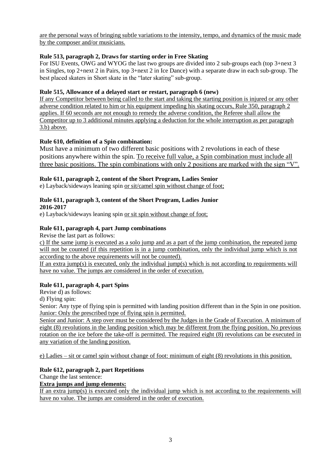are the personal ways of bringing subtle variations to the intensity, tempo, and dynamics of the music made by the composer and/or musicians.

## **Rule 513, paragraph 2, Draws for starting order in Free Skating**

For ISU Events, OWG and WYOG the last two groups are divided into 2 sub-groups each (top 3+next 3 in Singles, top 2+next 2 in Pairs, top 3+next 2 in Ice Dance) with a separate draw in each sub-group. The best placed skaters in Short skate in the "later skating" sub-group.

## **Rule 515, Allowance of a delayed start or restart, paragraph 6 (new)**

If any Competitor between being called to the start and taking the starting position is injured or any other adverse condition related to him or his equipment impeding his skating occurs, Rule 350, paragraph 2 applies. If 60 seconds are not enough to remedy the adverse condition, the Referee shall allow the Competitor up to 3 additional minutes applying a deduction for the whole interruption as per paragraph 3.b) above.

## **Rule 610, definition of a Spin combination:**

Must have a minimum of two different basic positions with 2 revolutions in each of these positions anywhere within the spin. To receive full value, a Spin combination must include all three basic positions. The spin combinations with only 2 positions are marked with the sign "V".

### **Rule 611, paragraph 2, content of the Short Program, Ladies Senior**

e) Layback/sideways leaning spin or sit/camel spin without change of foot;

### **Rule 611, paragraph 3, content of the Short Program, Ladies Junior 2016-2017**

e) Layback/sideways leaning spin or sit spin without change of foot;

## **Rule 611, paragraph 4, part Jump combinations**

Revise the last part as follows:

c) If the same jump is executed as a solo jump and as a part of the jump combination, the repeated jump will not be counted (if this repetition is in a jump combination, only the individual jump which is not according to the above requirements will not be counted).

If an extra  $\text{jump}(s)$  is executed, only the individual  $\text{jump}(s)$  which is not according to requirements will have no value. The jumps are considered in the order of execution.

### **Rule 611, paragraph 4, part Spins**

Revise d) as follows:

d) Flying spin:

Senior: Any type of flying spin is permitted with landing position different than in the Spin in one position. Junior: Only the prescribed type of flying spin is permitted.

Senior and Junior: A step over must be considered by the Judges in the Grade of Execution. A minimum of eight (8) revolutions in the landing position which may be different from the flying position. No previous rotation on the ice before the take-off is permitted. The required eight (8) revolutions can be executed in any variation of the landing position.

e) Ladies – sit or camel spin without change of foot: minimum of eight (8) revolutions in this position.

### **Rule 612, paragraph 2, part Repetitions**

Change the last sentence:

### **Extra jumps and jump elements:**

If an extra jump(s) is executed only the individual jump which is not according to the requirements will have no value. The jumps are considered in the order of execution.